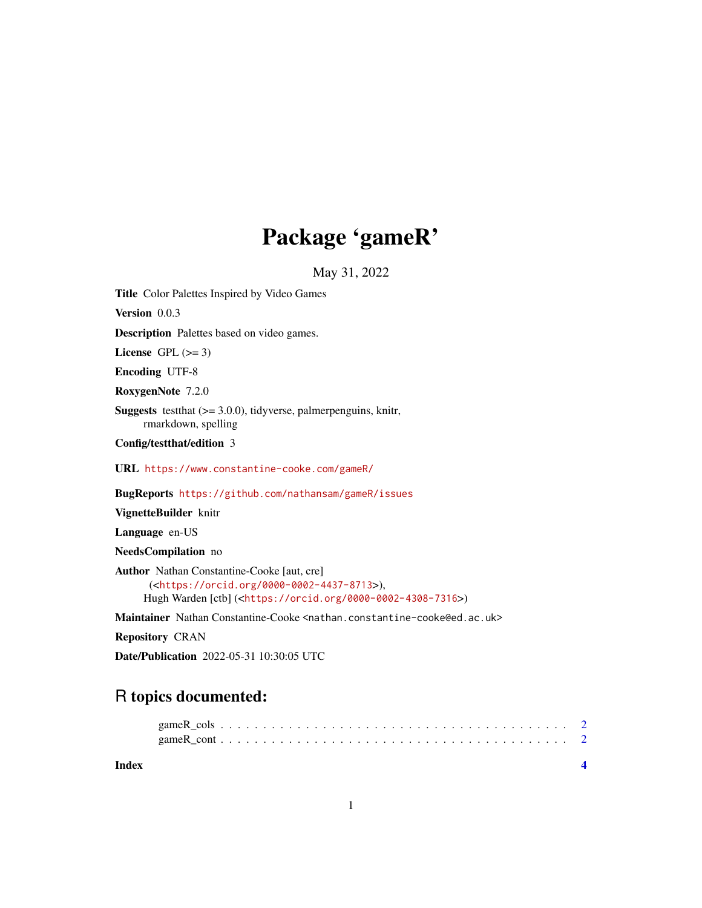## Package 'gameR'

May 31, 2022

<span id="page-0-0"></span>Title Color Palettes Inspired by Video Games

Version 0.0.3

Description Palettes based on video games.

License GPL  $(>= 3)$ 

Encoding UTF-8

RoxygenNote 7.2.0

**Suggests** testthat  $(>= 3.0.0)$ , tidyverse, palmerpenguins, knitr, rmarkdown, spelling

Config/testthat/edition 3

URL <https://www.constantine-cooke.com/gameR/>

BugReports <https://github.com/nathansam/gameR/issues>

VignetteBuilder knitr

Language en-US

NeedsCompilation no

Author Nathan Constantine-Cooke [aut, cre] (<<https://orcid.org/0000-0002-4437-8713>>), Hugh Warden [ctb] (<<https://orcid.org/0000-0002-4308-7316>>)

Maintainer Nathan Constantine-Cooke <nathan.constantine-cooke@ed.ac.uk>

Repository CRAN

Date/Publication 2022-05-31 10:30:05 UTC

### R topics documented:

| Index |  |  |  |  |  |  |  |  |  |  |  |  |  |  |  |  |  |
|-------|--|--|--|--|--|--|--|--|--|--|--|--|--|--|--|--|--|
|       |  |  |  |  |  |  |  |  |  |  |  |  |  |  |  |  |  |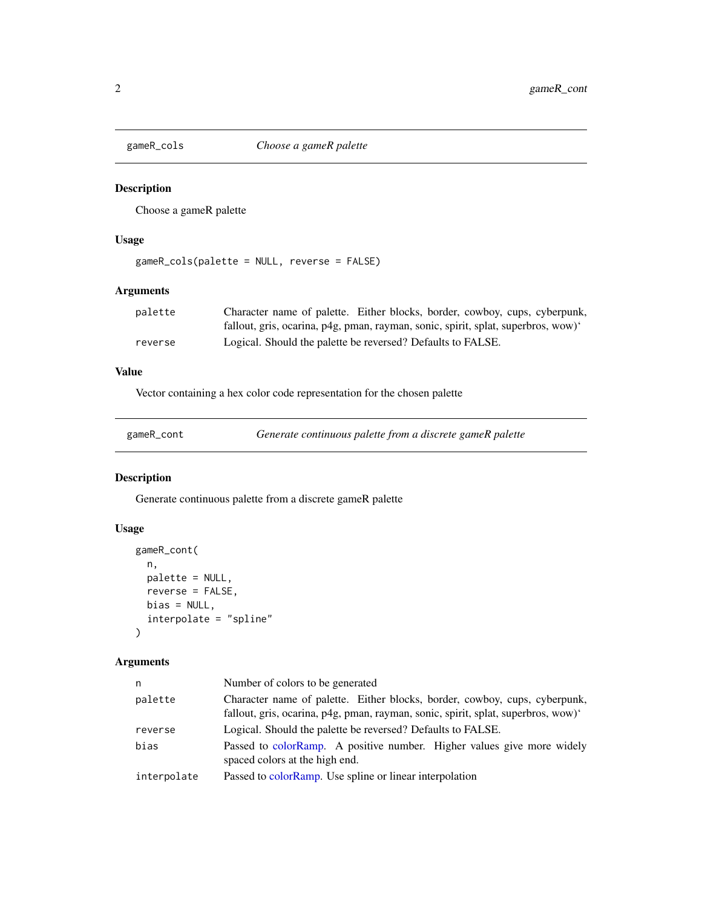<span id="page-1-0"></span>

#### Description

Choose a gameR palette

#### Usage

```
gameR_cols(palette = NULL, reverse = FALSE)
```
#### Arguments

| palette | Character name of palette. Either blocks, border, cowboy, cups, cyberpunk,       |
|---------|----------------------------------------------------------------------------------|
|         | fallout, gris, ocarina, p4g, pman, rayman, sonic, spirit, splat, superbros, wow) |
| reverse | Logical. Should the palette be reversed? Defaults to FALSE.                      |

#### Value

Vector containing a hex color code representation for the chosen palette

| gameR_cont |  |
|------------|--|
|            |  |

Generate continuous palette from a discrete gameR palette

#### Description

Generate continuous palette from a discrete gameR palette

#### Usage

```
gameR_cont(
 n,
 palette = NULL,
 reverse = FALSE,
 bias = NULL,
  interpolate = "spline"
)
```
#### Arguments

| n           | Number of colors to be generated                                                                                                                                |
|-------------|-----------------------------------------------------------------------------------------------------------------------------------------------------------------|
| palette     | Character name of palette. Either blocks, border, cowboy, cups, cyberpunk,<br>fallout, gris, ocarina, p4g, pman, rayman, sonic, spirit, splat, superbros, wow)' |
| reverse     | Logical. Should the palette be reversed? Defaults to FALSE.                                                                                                     |
| bias        | Passed to colorRamp. A positive number. Higher values give more widely<br>spaced colors at the high end.                                                        |
| interpolate | Passed to colorRamp. Use spline or linear interpolation                                                                                                         |
|             |                                                                                                                                                                 |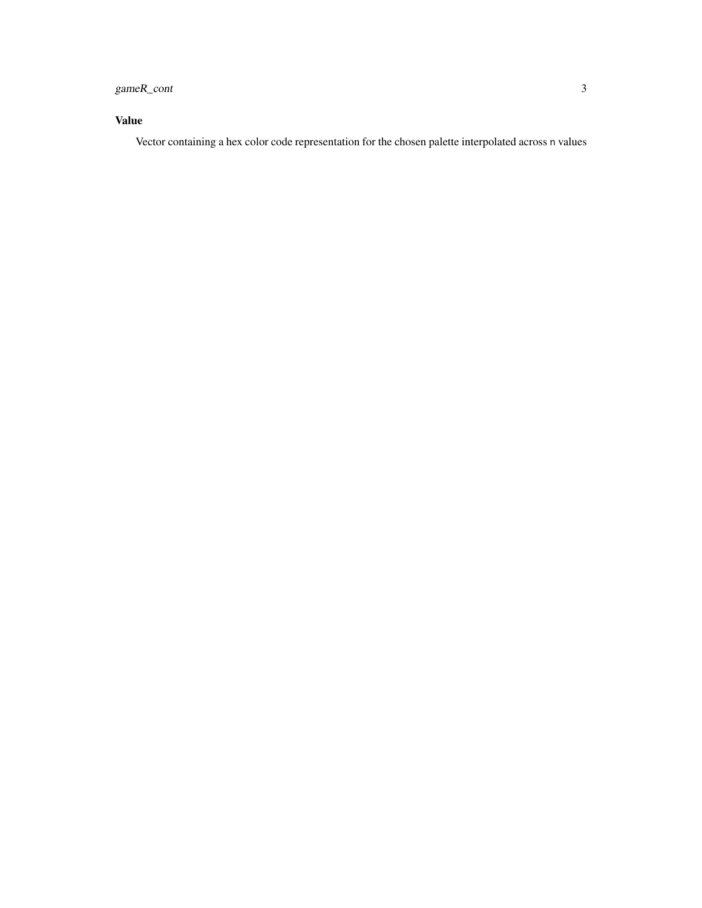#### gameR\_cont 3

#### Value

Vector containing a hex color code representation for the chosen palette interpolated across n values